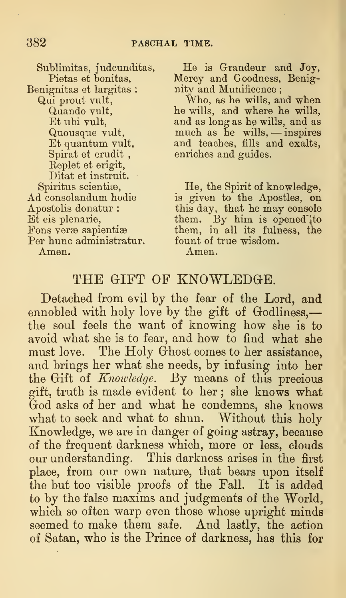Benignitas et largitas : nity and Munificence; Spirat et erudit, enriches and guides. Replet et erigit, Ditat et instruit. Per hunc administratur. fount of true wisdom. Amen. Amen.

Sublimitas, judcunditas, He is Grandeur and Joy,<br>Pietas et bonitas, Mercy and Goodness, Benig-Mercy and Goodness, Benig-

Qui prout vult, Who, as he wills, and when Quando vult, he wills, and where he wills, Et ubi vult, and as long as he wills, and as Quousque vult, much as he wills, — inspires<br>Et quantum vult, and teaches, fills and exalts, and teaches, fills and exalts,

Spiritus scientiæ, He, the Spirit of knowledge, Ad consolandum hodie is given to the Apostles, on Apostolis donatur : this day, that he may console Et eis plenarie, them. By him is opened<sup>"</sup> to Fons verse sapientise them, in all its fulness, the

## THE GIFT OF KNOWLEDGE.

Detached from evil by the fear of the Lord, and ennobled with holy love by the gift of Godliness,the soul feels the want of knowing how she is to avoid what she is to fear, and how to find what she must love. The Holy Ghost comes to her assistance, and brings her what she needs, by infusing into her the Gift of Knowledge. By means of this precious gift, truth is made evident to her ; she knows what God asks of her and what he condemns, she knows what to seek and what to shun. Without this holy Knowledge, we are in danger of going astray, because of the frequent darkness which, more or less, clouds our understanding. This darkness arises in the first place, from onr own nature, that bears upon itself the but too visible proofs of the Fall. It is added to by the false maxims and judgments of the World, which so often warp even those whose upright minds seemed to make them safe. And lastly, the action of Satan, who is the Prince of darkness, has this for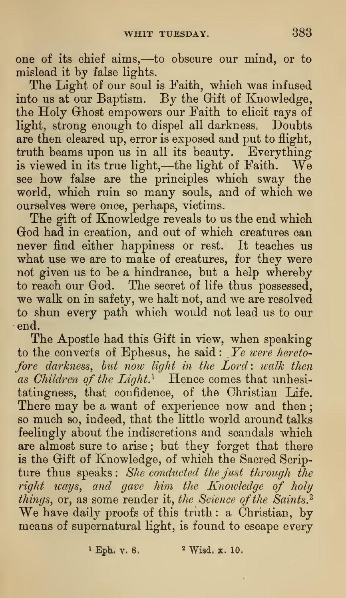one of its chief aims,—to obscure our mind, or to mislead it by false lights.

The Light of our soul is Faith, which was infused into us at our Baptism. By the Gift of Knowledge, the Holy Ghost empowers our Faith to elicit rays of light, strong enough to dispel all darkness. Doubts are then cleared up, error is exposed and put to flight, truth beams upon us in all its beauty. Everything is viewed in its true light,—the light of Faith. We see how false are the principles which sway the world, which ruin so many souls, and of which we ourselves were once, perhaps, victims.

The gift of Knowledge reveals to us the end which God had in creation, and out of which creatures can never find either happiness or rest. It teaches us what use we are to make of creatures, for they were not given us to be a hindrance, but a help whereby to reach our God. The secret of life thus possessed, we walk on in safety, we halt not, and we are resolved to shun every path which would not lead us to our end.

The Apostle had this Gift in view, when speaking to the converts of Ephesus, he said:  $Ye$  were heretofore darkness, but now light in the Lord: walk then as Children of the Light.<sup>1</sup> Hence comes that unhesitatingness, that confidence, of the Christian Life. There may be a want of experience now and then; so much so, indeed, that the little world around talks feelingly about the indiscretions and scandals which are almost sure to arise ; but they forget that there is the Gift of Knowledge, of which the Sacred Scripture thus speaks: She conducted the just through the right ways, and gave him the Knowledge of holy things, or, as some render it, the Science of the Saints.<sup>2</sup> We have daily proofs of this truth : <sup>a</sup> Christian, by means of supernatural light, is found to escape every

 $Eph. y. 8.$  2 Wisd. x. 10.